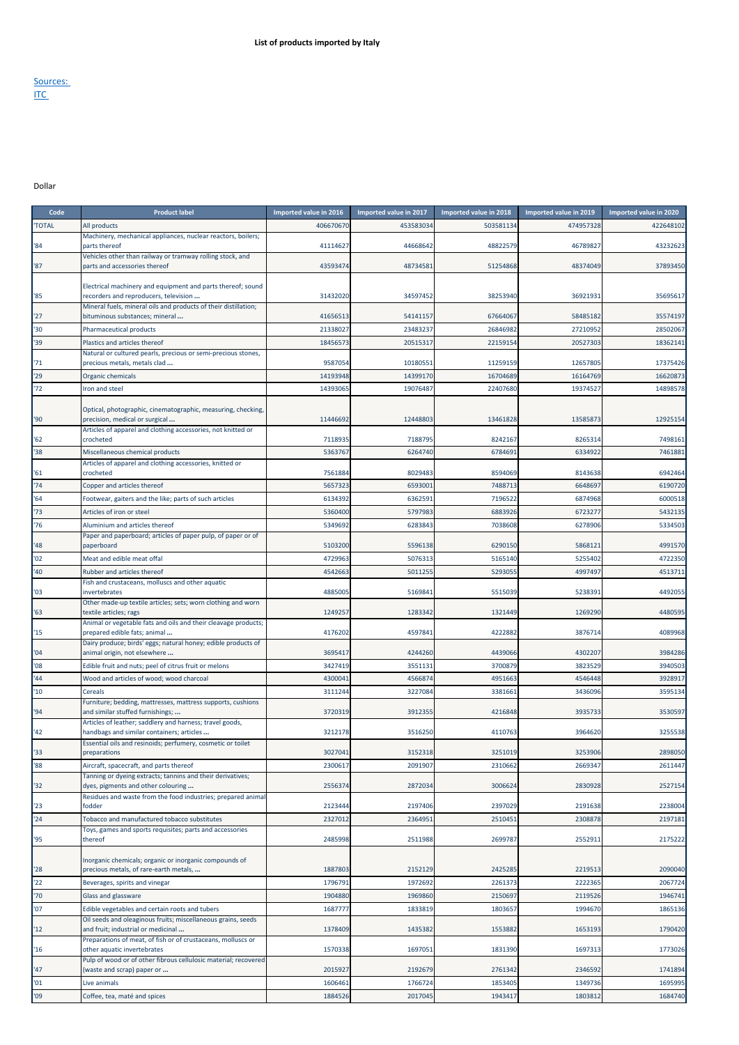## Sources: <u>ITC</u>

Dollar

| Code          | <b>Product label</b>                                                                                  | Imported value in 2016 | Imported value in 2017 | Imported value in 2018 | Imported value in 2019 | Imported value in 2020 |
|---------------|-------------------------------------------------------------------------------------------------------|------------------------|------------------------|------------------------|------------------------|------------------------|
| <b>'TOTAL</b> | All products                                                                                          | 40667067               | 453583034              | 503581134              | 474957328              | 422648102              |
| '84           | Machinery, mechanical appliances, nuclear reactors, boilers;<br>parts thereof                         | 41114627               | 44668642               | 48822579               | 46789827               | 43232623               |
| '87           | Vehicles other than railway or tramway rolling stock, and<br>parts and accessories thereof            | 4359347                | 48734581               | 51254868               | 48374049               | 37893450               |
|               | Electrical machinery and equipment and parts thereof; sound                                           |                        |                        |                        |                        |                        |
| '85           | recorders and reproducers, television                                                                 | 31432020               | 34597452               | 38253940               | 36921931               | 35695617               |
| '27           | Mineral fuels, mineral oils and products of their distillation;<br>bituminous substances; mineral     | 4165651                | 54141157               | 67664067               | 58485182               | 35574197               |
| '30           | <b>Pharmaceutical products</b>                                                                        | 2133802                | 23483237               | 26846982               | 27210952               | 28502067               |
| '39           | Plastics and articles thereof                                                                         | 1845657                | 20515317               | 22159154               | 20527303               | 18362141               |
|               | Natural or cultured pearls, precious or semi-precious stones,                                         |                        |                        |                        |                        |                        |
| '71           | precious metals, metals clad                                                                          | 958705                 | 10180551               | 11259159               | 12657805               | 17375426               |
| '29           | Organic chemicals                                                                                     | 1419394                | 14399170               | 16704689               | 16164769               | 16620873               |
| '72           | Iron and steel                                                                                        | 1439306                | 19076487               | 22407680               | 19374527               | 14898578               |
| '90'          | Optical, photographic, cinematographic, measuring, checking,<br>precision, medical or surgical        | 11446692               | 12448803               | 13461828               | 13585873               | 12925154               |
| '62           | Articles of apparel and clothing accessories, not knitted or<br>crocheted                             | 7118935                | 7188795                | 8242167                | 8265314                | 7498161                |
| '38           | Miscellaneous chemical products                                                                       | 5363767                | 6264740                | 6784691                | 6334922                | 7461881                |
| '61           | Articles of apparel and clothing accessories, knitted or<br>crocheted                                 | 7561884                | 8029483                | 8594069                | 8143638                | 6942464                |
| '74           | Copper and articles thereof                                                                           | 565732                 | 6593001                | 7488713                | 6648697                | 6190720                |
| '64           | Footwear, gaiters and the like; parts of such articles                                                | 6134392                | 6362591                | 7196522                | 6874968                | 6000518                |
| '73           | Articles of iron or steel                                                                             | 5360400                | 5797983                | 6883926                | 6723277                | 5432135                |
| '76           | Aluminium and articles thereof                                                                        | 534969                 | 6283843                | 7038608                | 6278906                | 5334503                |
|               | Paper and paperboard; articles of paper pulp, of paper or of                                          |                        |                        |                        |                        |                        |
| '48           | paperboard                                                                                            | 5103200                | 5596138                | 6290150                | 5868121                | 4991570                |
| '02           | Meat and edible meat offal                                                                            | 472996                 | 5076313                | 5165140                | 5255402                | 4722350                |
| '40           | Rubber and articles thereof                                                                           | 4542663                | 5011255                | 5293055                | 4997497                | 4513711                |
| '03           | Fish and crustaceans, molluscs and other aquatic<br>invertebrates                                     | 4885005                | 5169841                | 5515039                | 5238391                | 449205                 |
| '63           | Other made-up textile articles; sets; worn clothing and worn<br>textile articles; rags                | 124925                 | 1283342                | 1321449                | 1269290                | 4480595                |
|               | Animal or vegetable fats and oils and their cleavage products;                                        |                        |                        |                        |                        |                        |
| 15            | prepared edible fats; animal<br>Dairy produce; birds' eggs; natural honey; edible products of         | 4176202                | 4597841                | 4222882                | 3876714                | 4089968                |
| '04<br>'08    | animal origin, not elsewhere                                                                          | 3695417<br>3427419     | 4244260<br>3551131     | 4439066<br>3700879     | 4302207<br>3823529     | 3984286<br>3940503     |
| '44           | Edible fruit and nuts; peel of citrus fruit or melons                                                 |                        |                        |                        |                        |                        |
|               | Wood and articles of wood; wood charcoal                                                              | 430004                 | 4566874                | 4951663                | 4546448                | 3928917                |
| '10           | Cereals<br>Furniture; bedding, mattresses, mattress supports, cushions                                | 311124                 | 3227084                | 3381661                | 3436096                | 3595134                |
| '94           | and similar stuffed furnishings;                                                                      | 3720319                | 3912355                | 4216848                | 3935733                | 3530597                |
| '42           | Articles of leather; saddlery and harness; travel goods,<br>handbags and similar containers; articles | 3212178                | 3516250                | 4110763                | 3964620                | 3255538                |
|               | Essential oils and resinoids; perfumery, cosmetic or toilet                                           |                        |                        |                        |                        |                        |
| '33           | preparations                                                                                          | 3027041                | 3152318                | 3251019                | 3253906                | 2898050                |
| '88           | Aircraft, spacecraft, and parts thereof<br>Tanning or dyeing extracts; tannins and their derivatives; | 2300617                | 2091907                | 2310662                | 2669347                | 2611447                |
| '32           | dyes, pigments and other colouring                                                                    | 255637                 | 2872034                | 3006624                | 2830928                | 2527154                |
| '23           | Residues and waste from the food industries; prepared animal<br>fodder                                | 2123444                | 2197406                | 2397029                | 2191638                | 2238004                |
| '24           | Tobacco and manufactured tobacco substitutes                                                          | 232701                 | 2364951                | 2510451                | 2308878                | 2197181                |
|               | Toys, games and sports requisites; parts and accessories                                              |                        |                        |                        |                        |                        |
| '95           | thereof                                                                                               | 2485998                | 2511988                | 2699787                | 2552911                | 2175222                |
| '28           | Inorganic chemicals; organic or inorganic compounds of<br>precious metals, of rare-earth metals,      | 1887803                | 2152129                | 2425285                | 2219513                | 2090040                |
| 22            | Beverages, spirits and vinegar                                                                        | 179679                 | 1972692                | 2261373                | 2222365                | 2067724                |
| '70           | Glass and glassware                                                                                   | 190488                 | 1969860                | 2150697                | 2119526                | 1946741                |
| '07           | Edible vegetables and certain roots and tubers                                                        | 168777                 | 1833819                | 1803657                | 1994670                | 1865136                |
| 12            | Oil seeds and oleaginous fruits; miscellaneous grains, seeds<br>and fruit; industrial or medicinal    | 1378409                | 1435382                | 1553882                | 1653193                | 1790420                |
| '16           | Preparations of meat, of fish or of crustaceans, molluscs or<br>other aquatic invertebrates           | 1570338                | 1697051                | 1831390                | 1697313                | 1773026                |
| '47           | Pulp of wood or of other fibrous cellulosic material; recovered<br>(waste and scrap) paper or         | 2015927                | 2192679                | 2761342                | 2346592                | 1741894                |
| '01           | Live animals                                                                                          | 160646                 | 1766724                | 1853405                | 1349736                | 1695995                |
| '09           | Coffee, tea, maté and spices                                                                          | 1884526                | 2017045                | 1943417                | 1803812                | 1684740                |